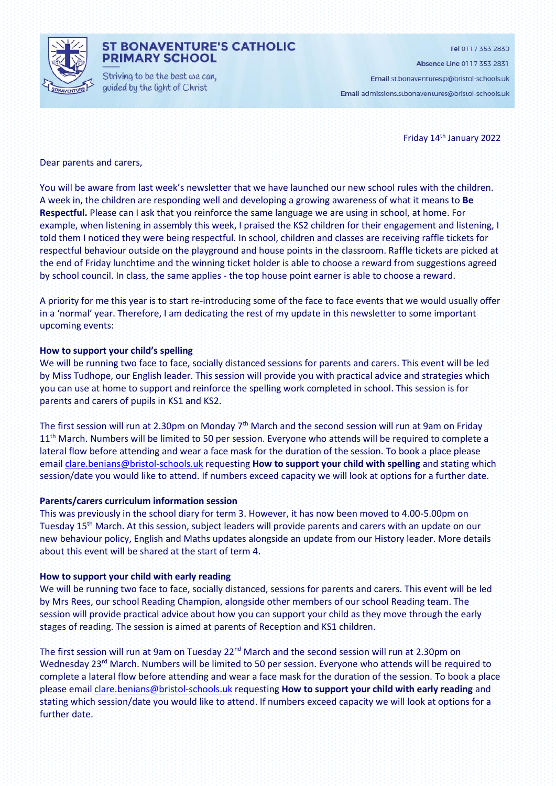

## **ST BONAVENTURE'S CATHOLIC PRIMARY SCHOOL**

Striving to be the best we can, guided by the light of Christ

Tel 0117 353 2830

Absence Line 0117 353 2831

Email st.bonaventures.p@bristol-schools.uk

Email admissions.stbonaventures@bristol-schools.uk

Friday 14th January 2022

Dear parents and carers,

You will be aware from last week's newsletter that we have launched our new school rules with the children. A week in, the children are responding well and developing a growing awareness of what it means to **Be Respectful.** Please can I ask that you reinforce the same language we are using in school, at home. For example, when listening in assembly this week, I praised the KS2 children for their engagement and listening, I told them I noticed they were being respectful. In school, children and classes are receiving raffle tickets for respectful behaviour outside on the playground and house points in the classroom. Raffle tickets are picked at the end of Friday lunchtime and the winning ticket holder is able to choose a reward from suggestions agreed by school council. In class, the same applies - the top house point earner is able to choose a reward.

A priority for me this year is to start re-introducing some of the face to face events that we would usually offer in a 'normal' year. Therefore, I am dedicating the rest of my update in this newsletter to some important upcoming events:

#### **How to support your child's spelling**

We will be running two face to face, socially distanced sessions for parents and carers. This event will be led by Miss Tudhope, our English leader. This session will provide you with practical advice and strategies which you can use at home to support and reinforce the spelling work completed in school. This session is for parents and carers of pupils in KS1 and KS2.

The first session will run at 2.30pm on Monday 7<sup>th</sup> March and the second session will run at 9am on Friday 11<sup>th</sup> March. Numbers will be limited to 50 per session. Everyone who attends will be required to complete a lateral flow before attending and wear a face mask for the duration of the session. To book a place please emai[l clare.benians@bristol-schools.uk](mailto:clare.benians@bristol-schools.uk) requesting **How to support your child with spelling** and stating which session/date you would like to attend. If numbers exceed capacity we will look at options for a further date.

#### **Parents/carers curriculum information session**

This was previously in the school diary for term 3. However, it has now been moved to 4.00-5.00pm on Tuesday 15th March. At this session, subject leaders will provide parents and carers with an update on our new behaviour policy, English and Maths updates alongside an update from our History leader. More details about this event will be shared at the start of term 4.

#### **How to support your child with early reading**

We will be running two face to face, socially distanced, sessions for parents and carers. This event will be led by Mrs Rees, our school Reading Champion, alongside other members of our school Reading team. The session will provide practical advice about how you can support your child as they move through the early stages of reading. The session is aimed at parents of Reception and KS1 children.

The first session will run at 9am on Tuesday 22<sup>nd</sup> March and the second session will run at 2.30pm on Wednesday 23<sup>rd</sup> March. Numbers will be limited to 50 per session. Everyone who attends will be required to complete a lateral flow before attending and wear a face mask for the duration of the session. To book a place please email [clare.benians@bristol-schools.uk](mailto:clare.benians@bristol-schools.uk) requesting **How to support your child with early reading** and stating which session/date you would like to attend. If numbers exceed capacity we will look at options for a further date.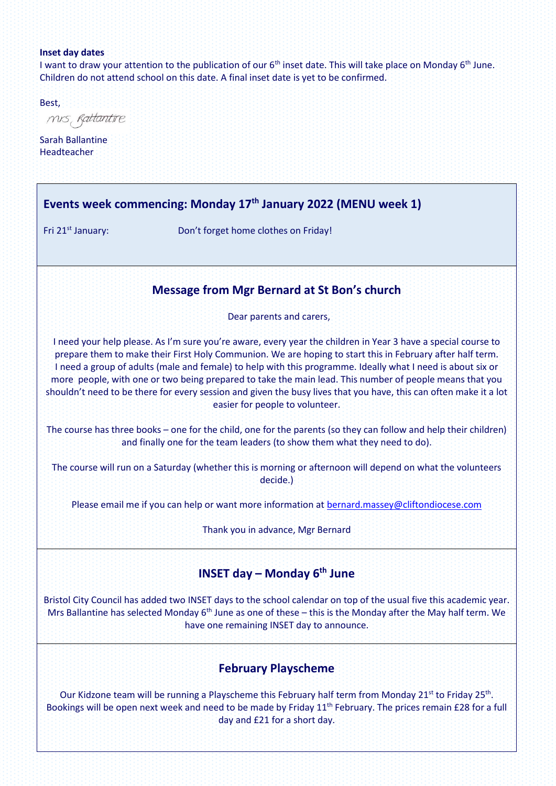#### **Inset day dates**

I want to draw your attention to the publication of our  $6<sup>th</sup>$  inset date. This will take place on Monday  $6<sup>th</sup>$  June. Children do not attend school on this date. A final inset date is yet to be confirmed.

Best,

mis, Rattantire

Sarah Ballantine **Headteacher** 

# **Events week commencing: Monday 17 th January 2022 (MENU week 1)**

Fri 21<sup>st</sup> January: Don't forget home clothes on Friday!

# **Message from Mgr Bernard at St Bon's church**

Dear parents and carers,

I need your help please. As I'm sure you're aware, every year the children in Year 3 have a special course to prepare them to make their First Holy Communion. We are hoping to start this in February after half term. I need a group of adults (male and female) to help with this programme. Ideally what I need is about six or more people, with one or two being prepared to take the main lead. This number of people means that you shouldn't need to be there for every session and given the busy lives that you have, this can often make it a lot easier for people to volunteer.

The course has three books – one for the child, one for the parents (so they can follow and help their children) and finally one for the team leaders (to show them what they need to do).

The course will run on a Saturday (whether this is morning or afternoon will depend on what the volunteers decide.)

Please email me if you can help or want more information at [bernard.massey@cliftondiocese.com](mailto:bernard.massey@cliftondiocese.com)

Thank you in advance, Mgr Bernard

# **INSET day – Monday 6 th June**

Bristol City Council has added two INSET days to the school calendar on top of the usual five this academic year. Mrs Ballantine has selected Monday 6<sup>th</sup> June as one of these – this is the Monday after the May half term. We have one remaining INSET day to announce.

### **February Playscheme**

Our Kidzone team will be running a Playscheme this February half term from Monday 21<sup>st</sup> to Friday 25<sup>th</sup>. Bookings will be open next week and need to be made by Friday 11<sup>th</sup> February. The prices remain £28 for a full day and £21 for a short day.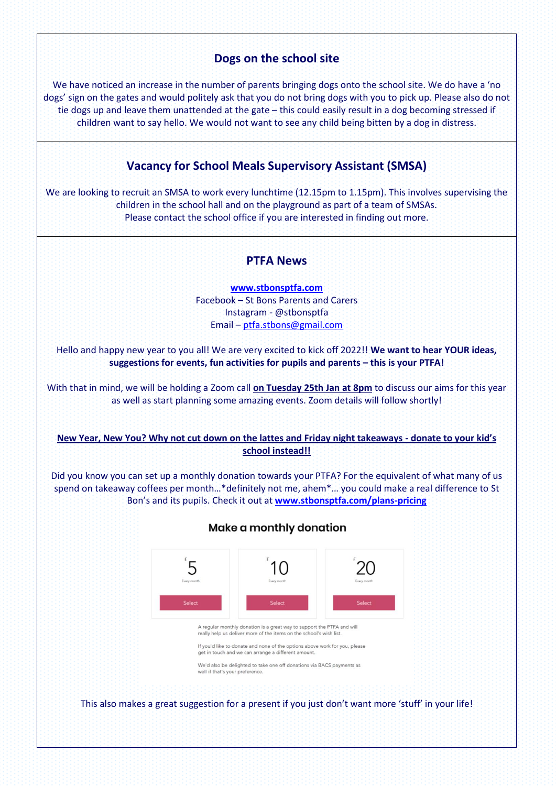# **Dogs on the school site**

We have noticed an increase in the number of parents bringing dogs onto the school site. We do have a 'no dogs' sign on the gates and would politely ask that you do not bring dogs with you to pick up. Please also do not tie dogs up and leave them unattended at the gate – this could easily result in a dog becoming stressed if children want to say hello. We would not want to see any child being bitten by a dog in distress.

## **Vacancy for School Meals Supervisory Assistant (SMSA)**

We are looking to recruit an SMSA to work every lunchtime (12.15pm to 1.15pm). This involves supervising the children in the school hall and on the playground as part of a team of SMSAs. Please contact the school office if you are interested in finding out more.

## **PTFA News**

**[www.stbonsptfa.com](file:///C:/Users/sophi/Documents/Personal/PTFA/www.stbonsptfa.com)** Facebook – St Bons Parents and Carers Instagram - @stbonsptfa Email – [ptfa.stbons@gmail.com](mailto:ptfa.stbons@gmail.com)

Hello and happy new year to you all! We are very excited to kick off 2022!! **We want to hear YOUR ideas, suggestions for events, fun activities for pupils and parents – this is your PTFA!** 

With that in mind, we will be holding a Zoom call **on Tuesday 25th Jan at 8pm** to discuss our aims for this year as well as start planning some amazing events. Zoom details will follow shortly!

### **New Year, New You? Why not cut down on the lattes and Friday night takeaways - donate to your kid's school instead!!**

Did you know you can set up a monthly donation towards your PTFA? For the equivalent of what many of us spend on takeaway coffees per month…\*definitely not me, ahem\*… you could make a real difference to St Bon's and its pupils. Check it out at **[www.stbonsptfa.com/plans-pricing](https://www.stbonsptfa.com/plans-pricing)**

### Make a monthly donation



If you'd like to donate and none of the options above work for you, please get in touch and we can arrange a different amount

We'd also be delighted to take one off donations via BACS payments as

well if that's your preferenc

This also makes a great suggestion for a present if you just don't want more 'stuff' in your life!